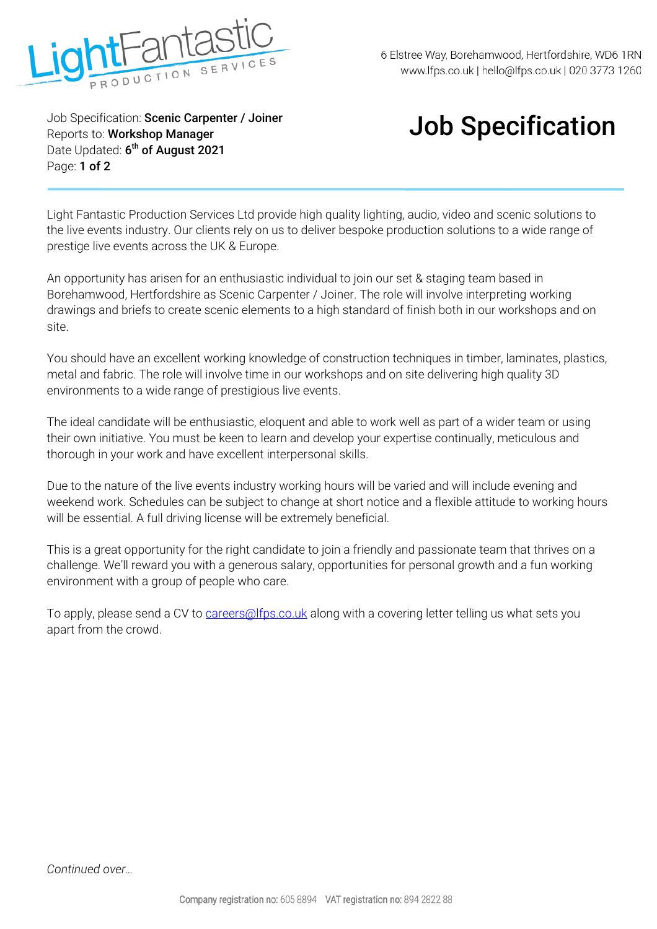

Job Specification: **Scenic Carpenter / Joiner** Reports to: **Workshop Manager** Date Updated: **6 th of August 2021** Page: **1 of 2** 

## Job Specification

Light Fantastic Production Services Ltd provide high quality lighting, audio, video and scenic solutions to the live events industry. Our clients rely on us to deliver bespoke production solutions to a wide range of prestige live events across the UK & Europe.

An opportunity has arisen for an enthusiastic individual to join our set & staging team based in Borehamwood, Hertfordshire as Scenic Carpenter / Joiner. The role will involve interpreting working drawings and briefs to create scenic elements to a high standard of finish both in our workshops and on site.

You should have an excellent working knowledge of construction techniques in timber, laminates, plastics, metal and fabric. The role will involve time in our workshops and on site delivering high quality 3D environments to a wide range of prestigious live events.

The ideal candidate will be enthusiastic, eloquent and able to work well as part of a wider team or using their own initiative. You must be keen to learn and develop your expertise continually, meticulous and thorough in your work and have excellent interpersonal skills.

Due to the nature of the live events industry working hours will be varied and will include evening and weekend work. Schedules can be subject to change at short notice and a flexible attitude to working hours will be essential. A full driving license will be extremely beneficial.

This is a great opportunity for the right candidate to join a friendly and passionate team that thrives on a challenge. We'll reward you with a generous salary, opportunities for personal growth and a fun working environment with a group of people who care.

To apply, please send a CV to careers@lfps.co.uk along with a covering letter telling us what sets you apart from the crowd.

*Continued over…*